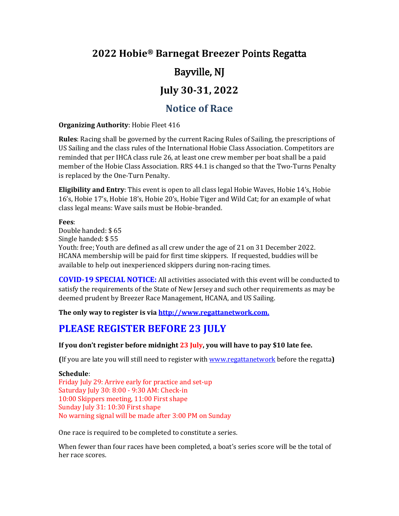# **2022 Hobie® Barnegat Breezer** Points Regatta

# Bayville, NJ

# **July 30-31, 2022**

## **Notice of Race**

#### **Organizing Authority**: Hobie Fleet 416

**Rules**: Racing shall be governed by the current Racing Rules of Sailing, the prescriptions of US Sailing and the class rules of the International Hobie Class Association. Competitors are reminded that per IHCA class rule 26, at least one crew member per boat shall be a paid member of the Hobie Class Association. RRS 44.1 is changed so that the Two-Turns Penalty is replaced by the One-Turn Penalty.

**Eligibility and Entry**: This event is open to all class legal Hobie Waves, Hobie 14's, Hobie 16's, Hobie 17's, Hobie 18's, Hobie 20's, Hobie Tiger and Wild Cat; for an example of what class legal means: Wave sails must be Hobie-branded.

### **Fees**:

Double handed: \$ 65 Single handed: \$ 55 Youth: free; Youth are defined as all crew under the age of 21 on 31 December 2022. HCANA membership will be paid for first time skippers. If requested, buddies will be available to help out inexperienced skippers during non-racing times.

**COVID-19 SPECIAL NOTICE:** All activities associated with this event will be conducted to satisfy the requirements of the State of New Jersey and such other requirements as may be deemed prudent by Breezer Race Management, HCANA, and US Sailing.

**The only way to register is via [http://www.regattanetwork.com.](http://www.regattanetwork.com/)** 

# **PLEASE REGISTER BEFORE 23 JULY**

#### **If you don't register before midnight 23 July, you will have to pay \$10 late fee.**

**(**If you are late you will still need to register wit[h www.regattanetwork](http://www.regattanetwork/) before the regatta**)**

#### **Schedule**:

Friday July 29: Arrive early for practice and set-up Saturday July 30: 8:00 - 9:30 AM: Check-in 10:00 Skippers meeting, 11:00 First shape Sunday July 31: 10:30 First shape No warning signal will be made after 3:00 PM on Sunday

One race is required to be completed to constitute a series.

When fewer than four races have been completed, a boat's series score will be the total of her race scores.